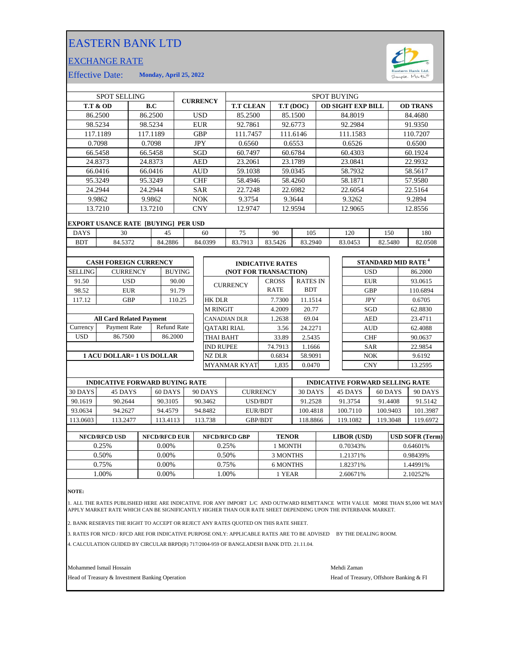## EASTERN BANK LTD

## EXCHANGE RATE



Effective Date: **Monday, April 25, 2022**

| <b>SPOT SELLING</b>               |                                            |                      |               |               | <b>CURRENCY</b>     |                         | <b>SPOT BUYING</b> |             |                 |            |                                      |                          |            |            |                 |          |
|-----------------------------------|--------------------------------------------|----------------------|---------------|---------------|---------------------|-------------------------|--------------------|-------------|-----------------|------------|--------------------------------------|--------------------------|------------|------------|-----------------|----------|
| <b>T.T &amp; OD</b>               |                                            |                      | B.C           |               |                     |                         | <b>T.T CLEAN</b>   |             |                 | T.T (DOC)  |                                      | <b>OD SIGHT EXP BILL</b> |            |            | <b>OD TRANS</b> |          |
| 86.2500                           |                                            |                      | 86.2500       |               |                     | <b>USD</b>              | 85.2500            |             |                 | 85.1500    |                                      | 84.8019                  |            |            | 84.4680         |          |
| 98.5234                           |                                            |                      | 98.5234       |               | <b>EUR</b>          |                         | 92.7861            |             | 92.6773         |            |                                      | 92.2984                  |            |            |                 | 91.9350  |
| 117.1189<br>117.1189              |                                            |                      |               | <b>GBP</b>    |                     | 111.7457                |                    | 111.6146    |                 |            | 111.1583                             |                          |            | 110.7207   |                 |          |
| 0.7098                            |                                            |                      | 0.7098        |               |                     | <b>JPY</b>              | 0.6560             |             | 0.6553          |            |                                      | 0.6526                   |            |            | 0.6500          |          |
| 66.5458                           |                                            | 66.5458              |               |               |                     | SGD                     | 60.7497            |             | 60.6784         |            | 60.4303                              |                          |            |            | 60.1924         |          |
| 24.8373                           |                                            |                      | 24.8373       |               | <b>AED</b>          |                         | 23.2061            |             | 23.1789         |            |                                      | 23.0841                  |            |            | 22.9932         |          |
| 66.0416                           |                                            |                      | 66.0416       |               | <b>AUD</b>          |                         | 59.1038            |             | 59.0345         |            |                                      | 58.7932                  |            |            | 58.5617         |          |
| 95.3249                           |                                            |                      | 95.3249       |               | <b>CHF</b>          |                         | 58.4946            |             | 58.4260         |            | 58.1871                              |                          |            |            | 57.9580         |          |
| 24.2944                           |                                            |                      | 24.2944       |               |                     | <b>SAR</b>              | 22.7248            |             | 22.6982         |            |                                      | 22.6054                  |            |            | 22.5164         |          |
|                                   | 9.9862                                     | 9.9862               |               |               | <b>NOK</b>          |                         | 9.3754             |             | 9.3644          |            |                                      | 9.3262                   |            |            | 9.2894          |          |
|                                   | 13.7210                                    |                      | 13.7210       |               | <b>CNY</b>          |                         | 12.9747            |             | 12.9594         |            |                                      | 12.9065                  |            |            | 12.8556         |          |
|                                   | <b>EXPORT USANCE RATE [BUYING] PER USD</b> |                      |               |               |                     |                         |                    |             |                 |            |                                      |                          |            |            |                 |          |
| <b>DAYS</b>                       | 30<br>45                                   |                      |               |               |                     | 60                      | 75                 | 90          |                 | 105        |                                      | 120                      |            | 150        |                 | 180      |
| <b>BDT</b>                        | 84.5372<br>84.2886                         |                      |               |               | 84.0399             | 83.7913                 | 83.5426            |             | 83.2940         |            |                                      | 83.0453<br>82.5480       |            |            | 82.0508         |          |
|                                   |                                            |                      |               |               |                     |                         |                    |             |                 |            |                                      |                          |            |            |                 |          |
| <b>CASH FOREIGN CURRENCY</b>      |                                            |                      |               |               |                     | <b>INDICATIVE RATES</b> |                    |             |                 |            | <b>STANDARD MID RATE<sup>4</sup></b> |                          |            |            |                 |          |
| <b>SELLING</b><br><b>CURRENCY</b> |                                            |                      | <b>BUYING</b> |               |                     | (NOT FOR TRANSACTION)   |                    |             |                 | <b>USD</b> |                                      |                          |            | 86.2000    |                 |          |
| 91.50                             | <b>USD</b>                                 |                      |               | 90.00         |                     |                         | <b>CROSS</b>       |             | <b>RATES IN</b> |            |                                      | <b>EUR</b>               |            | 93.0615    |                 |          |
| 98.52                             |                                            | <b>EUR</b>           |               | 91.79         |                     | <b>CURRENCY</b>         |                    | <b>RATE</b> |                 | <b>BDT</b> |                                      |                          | <b>GBP</b> |            |                 | 110.6894 |
| 117.12                            |                                            | <b>GBP</b><br>110.25 |               | <b>HK DLR</b> |                     |                         | 7.7300             | 11.1514     |                 |            | <b>JPY</b>                           |                          | 0.6705     |            |                 |          |
|                                   |                                            |                      |               |               |                     | <b>M RINGIT</b>         |                    |             | 4.2009          | 20.77      |                                      |                          | SGD        |            | 62.8830         |          |
| <b>All Card Related Payment</b>   |                                            |                      |               |               |                     | <b>CANADIAN DLR</b>     |                    | 1.2638      | 69.04           |            |                                      |                          | <b>AED</b> |            | 23.4711         |          |
| Currency                          | <b>Refund Rate</b><br>Payment Rate         |                      |               |               |                     |                         | <b>OATARI RIAL</b> |             | 3.56            | 24.2271    |                                      |                          |            | <b>AUD</b> |                 | 62.4088  |
| <b>USD</b>                        | 86.7500                                    |                      | 86.2000       |               |                     | <b>THAI BAHT</b>        |                    |             | 33.89           | 2.5435     |                                      |                          |            | <b>CHF</b> |                 | 90.0637  |
|                                   |                                            |                      |               |               | <b>IND RUPEE</b>    |                         | 74.7913            |             | 1.1666          |            |                                      | <b>SAR</b>               |            |            | 22.9854         |          |
| 1 ACU DOLLAR= 1 US DOLLAR         |                                            |                      |               |               | <b>NZ DLR</b>       |                         |                    | 0.6834      | 58.9091         |            |                                      | <b>NOK</b>               |            | 9.6192     |                 |          |
|                                   |                                            |                      |               |               | <b>MYANMAR KYAT</b> |                         | 1,835              |             | 0.0470          |            | <b>CNY</b>                           |                          |            | 13.2595    |                 |          |
|                                   |                                            |                      |               |               |                     |                         |                    |             |                 |            |                                      |                          |            |            |                 |          |

|          | <b>INDICATIVE FORWARD BUYING RATE</b> |          |         |                 | <b>INDICATIVE FORWARD SELLING RATE</b> |          |          |          |  |  |
|----------|---------------------------------------|----------|---------|-----------------|----------------------------------------|----------|----------|----------|--|--|
| 30 DAYS  | 45 DAYS                               | 60 DAYS  | 90 DAYS | <b>CURRENCY</b> | 30 DAYS                                | 45 DAYS  | 60 DAYS  | 90 DAYS  |  |  |
| 90.1619  | 90.2644                               | 90.3105  | 90.3462 | USD/BDT         | 91.2528                                | 91.3754  | 91.4408  | 91.5142  |  |  |
| 93.0634  | 94.2627                               | 94.4579  | 94.8482 | EUR/BDT         | 100.4818                               | 100.7110 | 100.9403 | 101.3987 |  |  |
| 113.0603 | 113.2477                              | 113.4113 | 113.738 | <b>GBP/BDT</b>  | 18.8866                                | 119.1082 | 119.3048 | 119.6972 |  |  |
|          |                                       |          |         |                 |                                        |          |          |          |  |  |

| <b>NFCD/RFCD USD</b> | <b>NFCD/RFCD EUR</b> | <b>NFCD/RFCD GBP</b> | <b>TENOR</b> | <b>LIBOR</b> (USD) | <b>USD SOFR (Term)</b> |
|----------------------|----------------------|----------------------|--------------|--------------------|------------------------|
| 0.25%                | $0.00\%$             | 0.25%                | 1 MONTH      | 0.70343%           | 0.64601%               |
| 0.50%                | $0.00\%$             | 0.50%                | 3 MONTHS     | 1.21371%           | 0.98439%               |
| 0.75%                | 0.00%                | 0.75%                | 6 MONTHS     | 1.82371%           | 1.44991%               |
| .00%                 | 0.00%                | .00%                 | l YEAR       | 2.60671%           | 2.10252%               |
|                      |                      |                      |              |                    |                        |

**NOTE:**

1. ALL THE RATES PUBLISHED HERE ARE INDICATIVE. FOR ANY IMPORT L/C AND OUTWARD REMITTANCE WITH VALUE MORE THAN \$5,000 WE MAY<br>APPLY MARKET RATE WHICH CAN BE SIGNIFICANTLY HIGHER THAN OUR RATE SHEET DEPENDING UPON THE IN

2. BANK RESERVES THE RIGHT TO ACCEPT OR REJECT ANY RATES QUOTED ON THIS RATE SHEET.

3. RATES FOR NFCD / RFCD ARE FOR INDICATIVE PURPOSE ONLY: APPLICABLE RATES ARE TO BE ADVISED BY THE DEALING ROOM.

4. CALCULATION GUIDED BY CIRCULAR BRPD(R) 717/2004-959 OF BANGLADESH BANK DTD. 21.11.04.

Mohammed Ismail Hossain Mehdi Zaman

Head of Treasury & Investment Banking Operation **Head of Treasury, Offshore Banking & FI**